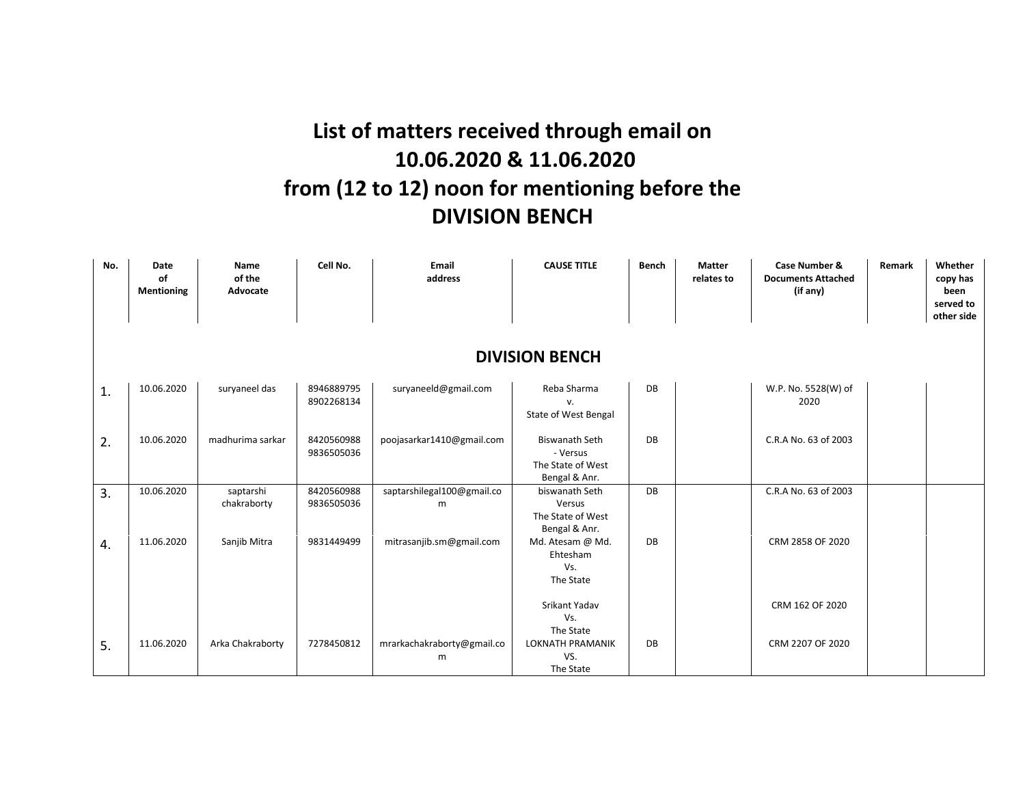## **List of matters received through email on 10.06.2020 & 11.06.2020 from (12 to 12) noon for mentioning before the DIVISION BENCH**

| No. | Date<br>of<br>Mentioning | Name<br>of the<br>Advocate | Cell No.                 | Email<br>address                | <b>CAUSE TITLE</b>                                                      | <b>Bench</b> | <b>Matter</b><br>relates to | Case Number &<br><b>Documents Attached</b><br>(if any) | Remark | Whether<br>copy has<br>been<br>served to<br>other side |  |  |
|-----|--------------------------|----------------------------|--------------------------|---------------------------------|-------------------------------------------------------------------------|--------------|-----------------------------|--------------------------------------------------------|--------|--------------------------------------------------------|--|--|
|     | <b>DIVISION BENCH</b>    |                            |                          |                                 |                                                                         |              |                             |                                                        |        |                                                        |  |  |
| 1.  | 10.06.2020               | suryaneel das              | 8946889795<br>8902268134 | suryaneeld@gmail.com            | Reba Sharma<br>V.<br>State of West Bengal                               | DB           |                             | W.P. No. 5528(W) of<br>2020                            |        |                                                        |  |  |
| 2.  | 10.06.2020               | madhurima sarkar           | 8420560988<br>9836505036 | poojasarkar1410@gmail.com       | <b>Biswanath Seth</b><br>- Versus<br>The State of West<br>Bengal & Anr. | DB           |                             | C.R.A No. 63 of 2003                                   |        |                                                        |  |  |
| 3.  | 10.06.2020               | saptarshi<br>chakraborty   | 8420560988<br>9836505036 | saptarshilegal100@gmail.co<br>m | biswanath Seth<br>Versus<br>The State of West<br>Bengal & Anr.          | DB           |                             | C.R.A No. 63 of 2003                                   |        |                                                        |  |  |
| 4.  | 11.06.2020               | Sanjib Mitra               | 9831449499               | mitrasanjib.sm@gmail.com        | Md. Atesam @ Md.<br>Ehtesham<br>Vs.<br>The State                        | DB           |                             | CRM 2858 OF 2020                                       |        |                                                        |  |  |
|     |                          |                            |                          |                                 | Srikant Yadav<br>Vs.<br>The State                                       |              |                             | CRM 162 OF 2020                                        |        |                                                        |  |  |
| 5.  | 11.06.2020               | Arka Chakraborty           | 7278450812               | mrarkachakraborty@gmail.co<br>m | <b>LOKNATH PRAMANIK</b><br>VS.<br>The State                             | DB           |                             | CRM 2207 OF 2020                                       |        |                                                        |  |  |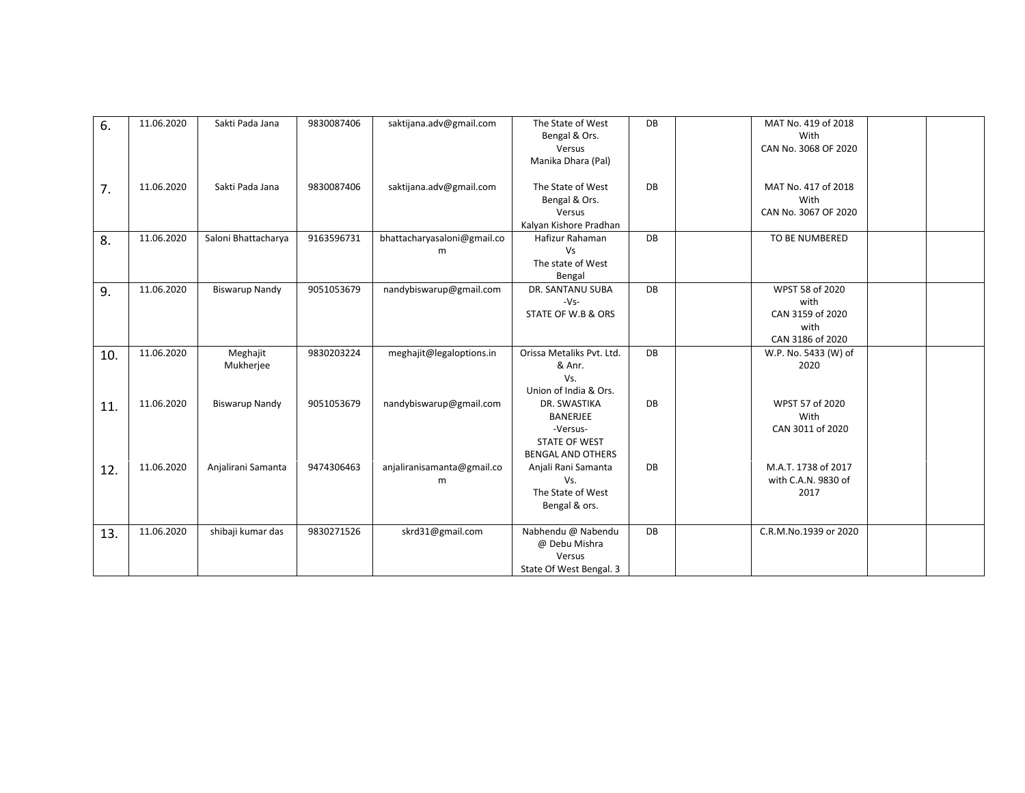| 6.  | 11.06.2020 | Sakti Pada Jana       | 9830087406 | saktijana.adv@gmail.com          | The State of West<br>Bengal & Ors.<br>Versus<br>Manika Dhara (Pal)                              | DB | MAT No. 419 of 2018<br>With<br>CAN No. 3068 OF 2020                     |
|-----|------------|-----------------------|------------|----------------------------------|-------------------------------------------------------------------------------------------------|----|-------------------------------------------------------------------------|
| 7.  | 11.06.2020 | Sakti Pada Jana       | 9830087406 | saktijana.adv@gmail.com          | The State of West<br>Bengal & Ors.<br>Versus<br>Kalyan Kishore Pradhan                          | DB | MAT No. 417 of 2018<br>With<br>CAN No. 3067 OF 2020                     |
| 8.  | 11.06.2020 | Saloni Bhattacharya   | 9163596731 | bhattacharyasaloni@gmail.co<br>m | Hafizur Rahaman<br><b>Vs</b><br>The state of West<br>Bengal                                     | DB | TO BE NUMBERED                                                          |
| 9.  | 11.06.2020 | <b>Biswarup Nandy</b> | 9051053679 | nandybiswarup@gmail.com          | DR. SANTANU SUBA<br>$-Vs-$<br>STATE OF W.B & ORS                                                | DB | WPST 58 of 2020<br>with<br>CAN 3159 of 2020<br>with<br>CAN 3186 of 2020 |
| 10. | 11.06.2020 | Meghajit<br>Mukherjee | 9830203224 | meghajit@legaloptions.in         | Orissa Metaliks Pvt. Ltd.<br>& Anr.<br>Vs.<br>Union of India & Ors.                             | DB | W.P. No. 5433 (W) of<br>2020                                            |
| 11. | 11.06.2020 | <b>Biswarup Nandy</b> | 9051053679 | nandybiswarup@gmail.com          | DR. SWASTIKA<br><b>BANERJEE</b><br>-Versus-<br><b>STATE OF WEST</b><br><b>BENGAL AND OTHERS</b> | DB | WPST 57 of 2020<br>With<br>CAN 3011 of 2020                             |
| 12. | 11.06.2020 | Anjalirani Samanta    | 9474306463 | anjaliranisamanta@gmail.co<br>m  | Anjali Rani Samanta<br>Vs.<br>The State of West<br>Bengal & ors.                                | DB | M.A.T. 1738 of 2017<br>with C.A.N. 9830 of<br>2017                      |
| 13. | 11.06.2020 | shibaji kumar das     | 9830271526 | skrd31@gmail.com                 | Nabhendu @ Nabendu<br>@ Debu Mishra<br>Versus<br>State Of West Bengal. 3                        | DB | C.R.M.No.1939 or 2020                                                   |